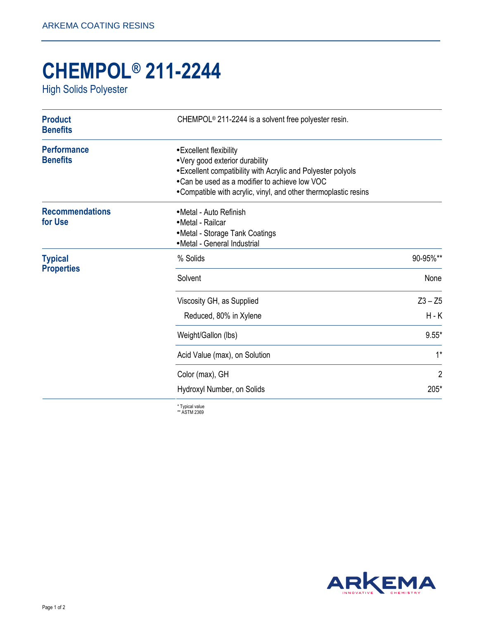## **CHEMPOL® 211-2244**

High Solids Polyester

| <b>Product</b><br><b>Benefits</b>     | CHEMPOL <sup>®</sup> 211-2244 is a solvent free polyester resin.                                                                                                                                                                                 |                |
|---------------------------------------|--------------------------------------------------------------------------------------------------------------------------------------------------------------------------------------------------------------------------------------------------|----------------|
| <b>Performance</b><br><b>Benefits</b> | • Excellent flexibility<br>• Very good exterior durability<br>• Excellent compatibility with Acrylic and Polyester polyols<br>• Can be used as a modifier to achieve low VOC<br>• Compatible with acrylic, vinyl, and other thermoplastic resins |                |
| <b>Recommendations</b><br>for Use     | • Metal - Auto Refinish<br>• Metal - Railcar<br>• Metal - Storage Tank Coatings<br>• Metal - General Industrial                                                                                                                                  |                |
| <b>Typical</b><br><b>Properties</b>   | % Solids                                                                                                                                                                                                                                         | 90-95%**       |
|                                       | Solvent                                                                                                                                                                                                                                          | None           |
|                                       | Viscosity GH, as Supplied                                                                                                                                                                                                                        | $Z3 - Z5$      |
|                                       | Reduced, 80% in Xylene                                                                                                                                                                                                                           | $H - K$        |
|                                       | Weight/Gallon (lbs)                                                                                                                                                                                                                              | $9.55*$        |
|                                       | Acid Value (max), on Solution                                                                                                                                                                                                                    | $1^*$          |
|                                       | Color (max), GH                                                                                                                                                                                                                                  | $\overline{2}$ |
|                                       | Hydroxyl Number, on Solids                                                                                                                                                                                                                       | 205*           |
|                                       | $*$ Tuninal unlup                                                                                                                                                                                                                                |                |

\* Typical value \*\* ASTM 2369